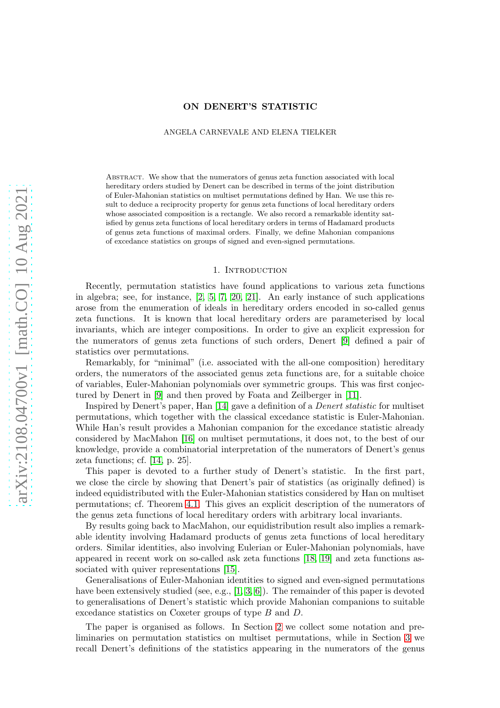## ON DENERT'S STATISTIC

ANGELA CARNEVALE AND ELENA TIELKER

Abstract. We show that the numerators of genus zeta function associated with local hereditary orders studied by Denert can be described in terms of the joint distribution of Euler-Mahonian statistics on multiset permutations defined by Han. We use this result to deduce a reciprocity property for genus zeta functions of local hereditary orders whose associated composition is a rectangle. We also record a remarkable identity satisfied by genus zeta functions of local hereditary orders in terms of Hadamard products of genus zeta functions of maximal orders. Finally, we define Mahonian companions of excedance statistics on groups of signed and even-signed permutations.

#### 1. INTRODUCTION

Recently, permutation statistics have found applications to various zeta functions in algebra; see, for instance, [2, 5, 7, 20, 21]. An early instance of such applications arose from the enumeration of ideals in hereditary orders encoded in so-called genus zeta functions. It is known that local hereditary orders are parameterised by local invariants, which are integer compositions. In order to give an explicit expression for the numerators of genus zeta functions of such orders, Denert [9] defined a pair of statistics over permutations.

Remarkably, for "minimal" (i.e. associated with the all-one composition) hereditary orders, the numerators of the associated genus zeta functions are, for a suitable choice of variables, Euler-Mahonian polynomials over symmetric groups. This was first conjectured by Denert in [9] and then proved by Foata and Zeilberger in [11].

Inspired by Denert's paper, Han [14] gave a definition of a Denert statistic for multiset permutations, which together with the classical excedance statistic is Euler-Mahonian. While Han's result provides a Mahonian companion for the excedance statistic already considered by MacMahon [16] on multiset permutations, it does not, to the best of our knowledge, provide a combinatorial interpretation of the numerators of Denert's genus zeta functions; cf. [14, p. 25].

This paper is devoted to a further study of Denert's statistic. In the first part, we close the circle by showing that Denert's pair of statistics (as originally defined) is indeed equidistributed with the Euler-Mahonian statistics considered by Han on multiset permutations; cf. Theorem [4.1.](#page-6-0) This gives an explicit description of the numerators of the genus zeta functions of local hereditary orders with arbitrary local invariants.

By results going back to MacMahon, our equidistribution result also implies a remarkable identity involving Hadamard products of genus zeta functions of local hereditary orders. Similar identities, also involving Eulerian or Euler-Mahonian polynomials, have appeared in recent work on so-called ask zeta functions [18, [19\]](#page-15-0) and zeta functions associated with quiver representations [15].

Generalisations of Euler-Mahonian identities to signed and even-signed permutations have been extensively studied (see, e.g., [1, 3, 6]). The remainder of this paper is devoted to generalisations of Denert's statistic which provide Mahonian companions to suitable excedance statistics on Coxeter groups of type B and D.

The paper is organised as follows. In Section [2](#page-1-0) we collect some notation and preliminaries on permutation statistics on multiset permutations, while in Section [3](#page-2-0) we recall Denert's definitions of the statistics appearing in the numerators of the genus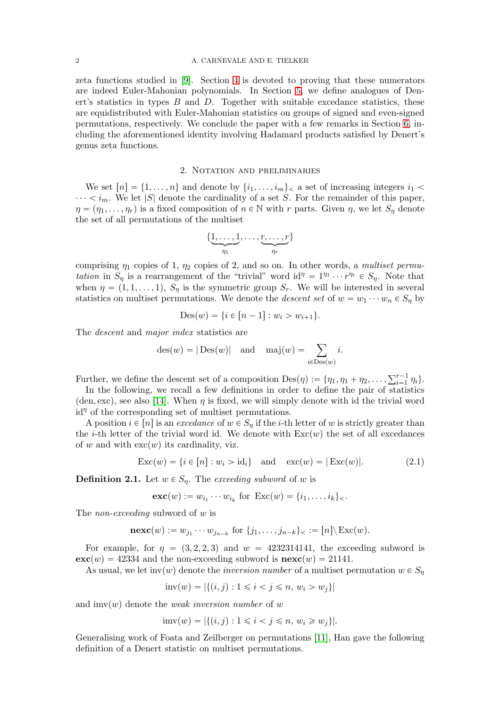zeta functions studied in [9]. Section [4](#page-6-1) is devoted to proving that these numerators are indeed Euler-Mahonian polynomials. In Section [5,](#page-11-0) we define analogues of Denert's statistics in types  $B$  and  $D$ . Together with suitable excedance statistics, these are equidistributed with Euler-Mahonian statistics on groups of signed and even-signed permutations, respectively. We conclude the paper with a few remarks in Section [6,](#page-13-0) including the aforementioned identity involving Hadamard products satisfied by Denert's genus zeta functions.

### 2. Notation and preliminaries

<span id="page-1-0"></span>We set  $[n] = \{1, \ldots, n\}$  and denote by  $\{i_1, \ldots, i_m\}$ , a set of increasing integers  $i_1$  $\cdots < i_m$ . We let |S| denote the cardinality of a set S. For the remainder of this paper,  $\eta = (\eta_1, \ldots, \eta_r)$  is a fixed composition of  $n \in \mathbb{N}$  with r parts. Given  $\eta$ , we let  $S_n$  denote the set of all permutations of the multiset

$$
\{\underbrace{1,\ldots,1}_{\eta_1},\ldots,\underbrace{r,\ldots,r}_{\eta_r}\}
$$

comprising  $\eta_1$  copies of 1,  $\eta_2$  copies of 2, and so on. In other words, a multiset permutation in  $S_{\eta}$  is a rearrangement of the "trivial" word id<sup> $\eta = 1^{\eta_1} \cdots r^{\eta_r} \in S_{\eta}$ . Note that</sup> when  $\eta = (1, 1, \ldots, 1), S_{\eta}$  is the symmetric group  $S_r$ . We will be interested in several statistics on multiset permutations. We denote the *descent set* of  $w = w_1 \cdots w_n \in S_n$  by

$$
Des(w) = \{ i \in [n-1] : w_i > w_{i+1} \}.
$$

The descent and major index statistics are

$$
des(w) = |\text{Des}(w)|
$$
 and  $maj(w) = \sum_{i \in \text{Des}(w)} i$ .

Further, we define the descent set of a composition  $Des(\eta) := \{ \eta_1, \eta_1 + \eta_2, \ldots, \sum_{i=1}^{r-1} \eta_i \}.$ 

In the following, we recall a few definitions in order to define the pair of statistics (den, exc), see also [14]. When  $\eta$  is fixed, we will simply denote with id the trivial word  $id^{\eta}$  of the corresponding set of multiset permutations.

A position  $i \in [n]$  is an excedance of  $w \in S_n$  if the *i*-th letter of w is strictly greater than the *i*-th letter of the trivial word id. We denote with  $Exc(w)$  the set of all excedances of w and with  $\mathrm{exc}(w)$  its cardinality, viz.

<span id="page-1-1"></span>
$$
Exc(w) = \{i \in [n] : w_i > id_i\} \text{ and } exc(w) = |Exc(w)|.
$$
 (2.1)

**Definition 2.1.** Let  $w \in S_n$ . The exceeding subword of w is

$$
\mathbf{exc}(w) := w_{i_1} \cdots w_{i_k}
$$
 for  $\text{Exc}(w) = \{i_1, \ldots, i_k\} \leq$ .

The *non-exceeding* subword of w is

$$
\mathbf{nexc}(w) := w_{j_1} \cdots w_{j_{n-k}} \text{ for } \{j_1, \ldots, j_{n-k}\} \subset \mathbb{R}^n \setminus \mathrm{Exc}(w).
$$

For example, for  $\eta = (3, 2, 2, 3)$  and  $w = 4232314141$ , the exceeding subword is  $\mathbf{exc}(w) = 42334$  and the non-exceeding subword is  $\mathbf{nexc}(w) = 21141$ .

As usual, we let inv(w) denote the inversion number of a multiset permutation  $w \in S_n$ 

$$
inv(w) = |\{(i, j) : 1 \le i < j \le n, w_i > w_j\}|
$$

and imv(w) denote the weak inversion number of w

$$
imv(w) = |\{(i, j) : 1 \le i < j \le n, w_i \ge w_j\}|.
$$

Generalising work of Foata and Zeilberger on permutations [11], Han gave the following definition of a Denert statistic on multiset permutations.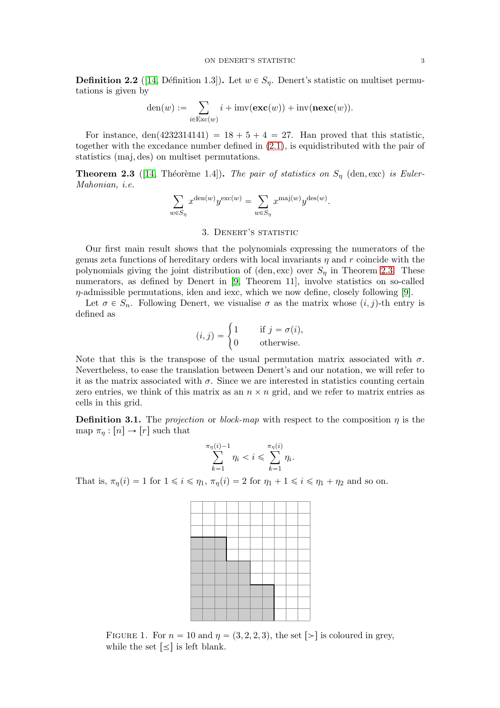<span id="page-2-3"></span>**Definition 2.2** ([14, Définition 1.3]). Let  $w \in S_n$ . Denert's statistic on multiset permutations is given by

$$
\text{den}(w) := \sum_{i \in \text{Exc}(w)} i + \text{imv}(\textbf{exc}(w)) + \text{inv}(\textbf{next}(w)).
$$

For instance, den(4232314141) =  $18 + 5 + 4 = 27$ . Han proved that this statistic, together with the excedance number defined in [\(2.1\)](#page-1-1), is equidistributed with the pair of statistics (maj, des) on multiset permutations.

<span id="page-2-1"></span>**Theorem 2.3** ([14, Théorème 1.4]). The pair of statistics on  $S_\eta$  (den, exc) is Euler-Mahonian, i.e.

$$
\sum_{w \in S_{\eta}} x^{\text{den}(w)} y^{\text{exc}(w)} = \sum_{w \in S_{\eta}} x^{\text{maj}(w)} y^{\text{des}(w)}.
$$

## 3. DENERT'S STATISTIC

<span id="page-2-0"></span>Our first main result shows that the polynomials expressing the numerators of the genus zeta functions of hereditary orders with local invariants  $\eta$  and r coincide with the polynomials giving the joint distribution of (den, exc) over  $S_{\eta}$  in Theorem [2.3.](#page-2-1) These numerators, as defined by Denert in [9, Theorem 11], involve statistics on so-called  $\eta$ -admissible permutations, iden and iexc, which we now define, closely following [9].

Let  $\sigma \in S_n$ . Following Denert, we visualise  $\sigma$  as the matrix whose  $(i, j)$ -th entry is defined as

$$
(i,j) = \begin{cases} 1 & \text{if } j = \sigma(i), \\ 0 & \text{otherwise.} \end{cases}
$$

Note that this is the transpose of the usual permutation matrix associated with  $\sigma$ . Nevertheless, to ease the translation between Denert's and our notation, we will refer to it as the matrix associated with  $\sigma$ . Since we are interested in statistics counting certain zero entries, we think of this matrix as an  $n \times n$  grid, and we refer to matrix entries as cells in this grid.

**Definition 3.1.** The projection or block-map with respect to the composition  $\eta$  is the map  $\pi_n : [n] \to [r]$  such that

$$
\sum_{k=1}^{\pi_{\eta}(i)-1} \eta_i < i \leqslant \sum_{k=1}^{\pi_{\eta}(i)} \eta_i.
$$

That is,  $\pi_{\eta}(i) = 1$  for  $1 \leq i \leq \eta_1$ ,  $\pi_{\eta}(i) = 2$  for  $\eta_1 + 1 \leq i \leq \eta_1 + \eta_2$  and so on.



<span id="page-2-2"></span>FIGURE 1. For  $n = 10$  and  $\eta = (3, 2, 2, 3)$ , the set  $\lceil \geq \rceil$  is coloured in grey, while the set  $\leq$  is left blank.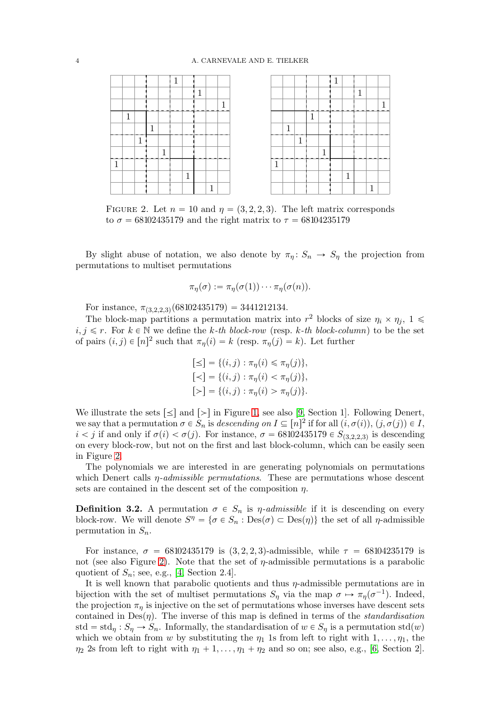

<span id="page-3-0"></span>FIGURE 2. Let  $n = 10$  and  $\eta = (3, 2, 2, 3)$ . The left matrix corresponds to  $\sigma = 68102435179$  and the right matrix to  $\tau = 68104235179$ 

By slight abuse of notation, we also denote by  $\pi_n: S_n \to S_n$  the projection from permutations to multiset permutations

$$
\pi_{\eta}(\sigma) := \pi_{\eta}(\sigma(1)) \cdots \pi_{\eta}(\sigma(n)).
$$

For instance,  $\pi_{(3,2,2,3)}(68102435179) = 3441212134.$ 

The block-map partitions a permutation matrix into  $r^2$  blocks of size  $\eta_i \times \eta_j$ ,  $1 \leq$  $i, j \leq r$ . For  $k \in \mathbb{N}$  we define the k-th block-row (resp. k-th block-column) to be the set of pairs  $(i, j) \in [n]^2$  such that  $\pi_{\eta}(i) = k$  (resp.  $\pi_{\eta}(j) = k$ ). Let further

$$
[\leq] = \{(i, j) : \pi_{\eta}(i) \leq \pi_{\eta}(j)\},
$$
  

$$
[\leq] = \{(i, j) : \pi_{\eta}(i) < \pi_{\eta}(j)\},
$$
  

$$
[\geq] = \{(i, j) : \pi_{\eta}(i) > \pi_{\eta}(j)\}.
$$

We illustrate the sets  $\leq$  and  $\geq$  in Figure [1,](#page-2-2) see also [9, Section 1]. Following Denert, we say that a permutation  $\sigma \in \overline{S}_n$  is descending on  $I \subseteq [n]^2$  if for all  $(i, \sigma(i)), (j, \sigma(j)) \in I$ ,  $i < j$  if and only if  $\sigma(i) < \sigma(j)$ . For instance,  $\sigma = 68102435179 \in S_{(3,2,2,3)}$  is descending on every block-row, but not on the first and last block-column, which can be easily seen in Figure [2.](#page-3-0)

The polynomials we are interested in are generating polynomials on permutations which Denert calls  $\eta$ -admissible permutations. These are permutations whose descent sets are contained in the descent set of the composition  $\eta$ .

**Definition 3.2.** A permutation  $\sigma \in S_n$  is  $\eta$ -admissible if it is descending on every block-row. We will denote  $S^{\eta} = \{ \sigma \in S_n : Des(\sigma) \subset Des(\eta) \}$  the set of all  $\eta$ -admissible permutation in  $S_n$ .

For instance,  $\sigma = 68102435179$  is  $(3, 2, 2, 3)$ -admissible, while  $\tau = 68104235179$  is not (see also Figure [2\)](#page-3-0). Note that the set of  $\eta$ -admissible permutations is a parabolic quotient of  $S_n$ ; see, e.g., [4, Section 2.4].

It is well known that parabolic quotients and thus  $\eta$ -admissible permutations are in bijection with the set of multiset permutations  $S_{\eta}$  via the map  $\sigma \mapsto \pi_{\eta}(\sigma^{-1})$ . Indeed, the projection  $\pi_n$  is injective on the set of permutations whose inverses have descent sets contained in  $Des(\eta)$ . The inverse of this map is defined in terms of the *standardisation* std = std<sub>n</sub> :  $S_\eta \rightarrow S_n$ . Informally, the standardisation of  $w \in S_\eta$  is a permutation std(w) which we obtain from w by substituting the  $\eta_1$  1s from left to right with  $1, \ldots, \eta_1$ , the  $\eta_2$  2s from left to right with  $\eta_1 + 1, \ldots, \eta_1 + \eta_2$  and so on; see also, e.g., [6, Section 2].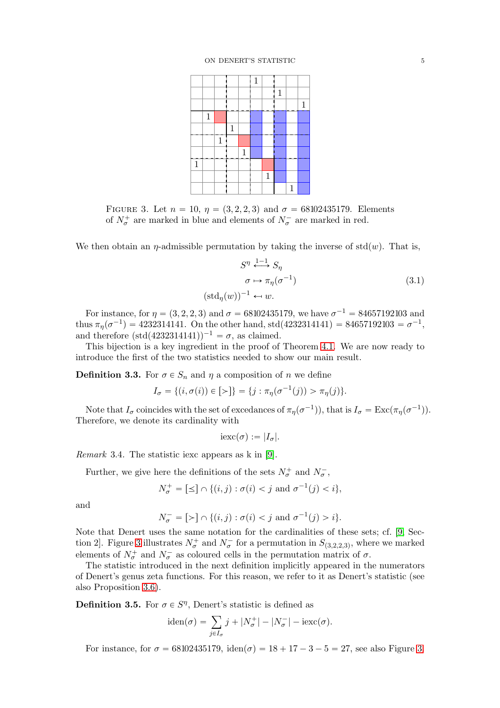

<span id="page-4-0"></span>FIGURE 3. Let  $n = 10$ ,  $\eta = (3, 2, 2, 3)$  and  $\sigma = 68102435179$ . Elements of  $N^+_{\sigma}$  are marked in blue and elements of  $N^-_{\sigma}$  are marked in red.

We then obtain an  $\eta$ -admissible permutation by taking the inverse of std $(w)$ . That is,

<span id="page-4-1"></span>
$$
S^{\eta} \stackrel{1-1}{\longleftrightarrow} S_{\eta}
$$

$$
\sigma \mapsto \pi_{\eta}(\sigma^{-1})
$$

$$
(\text{std}_{\eta}(w))^{-1} \leftarrow w.
$$

$$
(3.1)
$$

For instance, for  $\eta = (3, 2, 2, 3)$  and  $\sigma = 68102435179$ , we have  $\sigma^{-1} = 84657192103$  and thus  $\pi_{\eta}(\sigma^{-1}) = 4232314141$ . On the other hand, std(4232314141) = 84657192103 =  $\sigma^{-1}$ , and therefore  $(\text{std}(4232314141))^{-1} = \sigma$ , as claimed.

This bijection is a key ingredient in the proof of Theorem [4.1.](#page-6-0) We are now ready to introduce the first of the two statistics needed to show our main result.

**Definition 3.3.** For  $\sigma \in S_n$  and  $\eta$  a composition of n we define

$$
I_{\sigma} = \{ (i, \sigma(i)) \in [>\}] = \{ j : \pi_{\eta}(\sigma^{-1}(j)) > \pi_{\eta}(j) \}.
$$

Note that  $I_{\sigma}$  coincides with the set of excedances of  $\pi_{\eta}(\sigma^{-1})$ , that is  $I_{\sigma} = \text{Exc}(\pi_{\eta}(\sigma^{-1}))$ . Therefore, we denote its cardinality with

$$
i \mathrm{exc}(\sigma) := |I_{\sigma}|.
$$

Remark 3.4. The statistic iexc appears as k in [9].

Further, we give here the definitions of the sets  $N^+_{\sigma}$  and  $N^-_{\sigma}$ ,

$$
N_{\sigma}^{+} = [\leq] \cap \{(i, j) : \sigma(i) < j \text{ and } \sigma^{-1}(j) < i\},
$$

and

$$
N_{\sigma}^- = [\succ] \cap \{(i, j) : \sigma(i) < j \text{ and } \sigma^{-1}(j) > i\}.
$$

Note that Denert uses the same notation for the cardinalities of these sets; cf. [9, Sec-tion 2]. Figure [3](#page-4-0) illustrates  $N^+_{\sigma}$  and  $N^-_{\sigma}$  for a permutation in  $S_{(3,2,2,3)}$ , where we marked elements of  $N^+_{\sigma}$  and  $N^-_{\sigma}$  as coloured cells in the permutation matrix of  $\sigma$ .

The statistic introduced in the next definition implicitly appeared in the numerators of Denert's genus zeta functions. For this reason, we refer to it as Denert's statistic (see also Proposition [3.6\)](#page-5-0).

**Definition 3.5.** For  $\sigma \in S<sup>\eta</sup>$ , Denert's statistic is defined as

$$
\text{iden}(\sigma) = \sum_{j \in I_{\sigma}} j + |N_{\sigma}^{+}| - |N_{\sigma}^{-}| - \text{iexc}(\sigma).
$$

For instance, for  $\sigma = 68102435179$ , iden $(\sigma) = 18 + 17 - 3 - 5 = 27$ , see also Figure [3.](#page-4-0)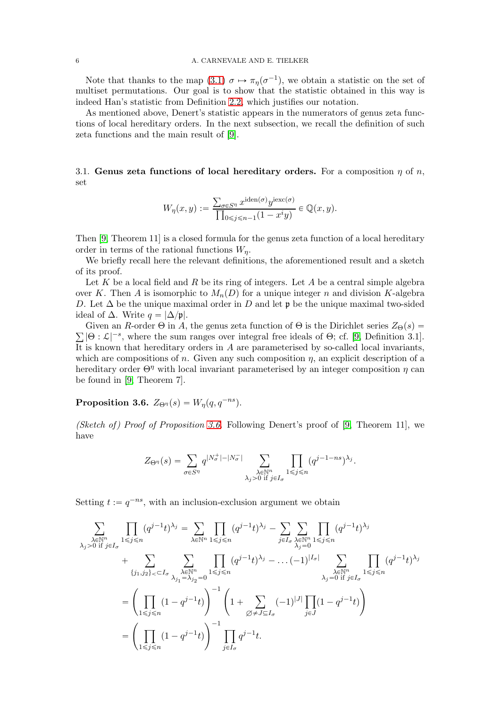Note that thanks to the map [\(3.1\)](#page-4-1)  $\sigma \mapsto \pi_{\eta}(\sigma^{-1})$ , we obtain a statistic on the set of multiset permutations. Our goal is to show that the statistic obtained in this way is indeed Han's statistic from Definition [2.2,](#page-2-3) which justifies our notation.

As mentioned above, Denert's statistic appears in the numerators of genus zeta functions of local hereditary orders. In the next subsection, we recall the definition of such zeta functions and the main result of [9].

3.1. Genus zeta functions of local hereditary orders. For a composition  $\eta$  of  $n$ , set

$$
W_{\eta}(x, y) := \frac{\sum_{\sigma \in S^{\eta}} x^{\mathrm{iden}(\sigma)} y^{\mathrm{iexc}(\sigma)}}{\prod_{0 \leq j \leq n-1} (1 - x^i y)} \in \mathbb{Q}(x, y).
$$

Then [9, Theorem 11] is a closed formula for the genus zeta function of a local hereditary order in terms of the rational functions  $W_n$ .

We briefly recall here the relevant definitions, the aforementioned result and a sketch of its proof.

Let K be a local field and R be its ring of integers. Let A be a central simple algebra over K. Then A is isomorphic to  $M_n(D)$  for a unique integer n and division K-algebra D. Let  $\Delta$  be the unique maximal order in D and let p be the unique maximal two-sided ideal of  $\Delta$ . Write  $q = |\Delta/\mathfrak{p}|$ .

 $\sum |\Theta : \mathcal{L}|^{-s}$ , where the sum ranges over integral free ideals of  $\Theta$ ; cf. [9, Definition 3.1]. Given an R-order  $\Theta$  in A, the genus zeta function of  $\Theta$  is the Dirichlet series  $Z_{\Theta}(s)$  = It is known that hereditary orders in  $A$  are parameterised by so-called local invariants, which are compositions of n. Given any such composition  $\eta$ , an explicit description of a hereditary order  $\Theta^{\eta}$  with local invariant parameterised by an integer composition  $\eta$  can be found in [9, Theorem 7].

# <span id="page-5-0"></span>**Proposition 3.6.**  $Z_{\Theta_{\eta}}(s) = W_{\eta}(q, q^{-ns}).$

(Sketch of) Proof of Proposition [3.6.](#page-5-0) Following Denert's proof of [9, Theorem 11], we have

$$
Z_{\Theta^\eta}(s) = \sum_{\sigma \in S^\eta} q^{|N_\sigma^+| - |N_\sigma^-|} \sum_{\substack{\lambda \in \mathbb{N}^n \\ \lambda_j > 0 \text{ if } j \in I_\sigma}} \prod_{1 \leqslant j \leqslant n} (q^{j-1-ns})^{\lambda_j}.
$$

Setting  $t := q^{-ns}$ , with an inclusion-exclusion argument we obtain

$$
\sum_{\substack{\lambda \in \mathbb{N}^n \\ \lambda_j > 0 \text{ if } j \in I_{\sigma}}} \prod_{1 \leq j \leq n} (q^{j-1}t)^{\lambda_j} = \sum_{\lambda \in \mathbb{N}^n} \prod_{1 \leq j \leq n} (q^{j-1}t)^{\lambda_j} - \sum_{j \in I_{\sigma}} \sum_{\lambda \in \mathbb{N}^n} \prod_{1 \leq j \leq n} (q^{j-1}t)^{\lambda_j} \\
+ \sum_{\{j_1, j_2\} < \square \sigma} \sum_{\substack{\lambda \in \mathbb{N}^n \\ \lambda_j = \lambda_{j_2} = 0}} \prod_{1 \leq j \leq n} (q^{j-1}t)^{\lambda_j} - \dots (-1)^{|I_{\sigma}|} \sum_{\substack{\lambda \in \mathbb{N}^n \\ \lambda_j = 0 \text{ if } j \in I_{\sigma}}} \prod_{1 \leq j \leq n} (q^{j-1}t)^{\lambda_j} \\
= \left( \prod_{1 \leq j \leq n} (1 - q^{j-1}t) \right)^{-1} \left( 1 + \sum_{\substack{\emptyset \neq J \subseteq I_{\sigma} \\ \emptyset \neq J \subseteq I_{\sigma}}} (-1)^{|J|} \prod_{j \in J} (1 - q^{j-1}t) \right) \\
= \left( \prod_{1 \leq j \leq n} (1 - q^{j-1}t) \right)^{-1} \prod_{j \in I_{\sigma}} q^{j-1}t.
$$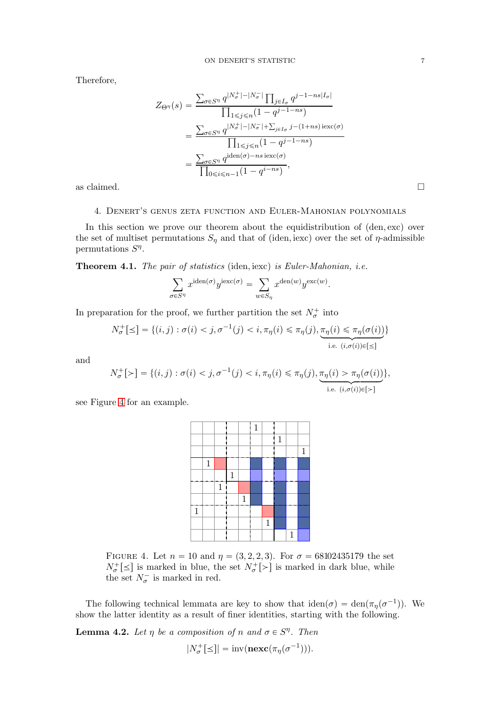Therefore,

$$
Z_{\Theta^{\eta}}(s) = \frac{\sum_{\sigma \in S^{\eta}} q^{|N_{\sigma}^{+}| - |N_{\sigma}^{-}|} \prod_{j \in I_{\sigma}} q^{j-1-ns|I_{\sigma}|}}{\prod_{1 \leq j \leq n} (1-q^{j-1-ns})}
$$

$$
= \frac{\sum_{\sigma \in S^{\eta}} q^{|N_{\sigma}^{+}| - |N_{\sigma}^{-}| + \sum_{j \in I_{\sigma}} j - (1+ns) \operatorname{iexc}(\sigma)}}{\prod_{1 \leq j \leq n} (1-q^{j-1-ns})}
$$

$$
= \frac{\sum_{\sigma \in S^{\eta}} q^{\operatorname{iden}(\sigma) - ns \operatorname{iexc}(\sigma)}}{\prod_{0 \leq i \leq n-1} (1-q^{i-ns})},
$$
as claimed.

<span id="page-6-1"></span>

#### 4. Denert's genus zeta function and Euler-Mahonian polynomials

In this section we prove our theorem about the equidistribution of  $(den, exc)$  over the set of multiset permutations  $S_{\eta}$  and that of (iden, iexc) over the set of  $\eta$ -admissible permutations  $S^{\eta}$ .

<span id="page-6-0"></span>**Theorem 4.1.** The pair of statistics (iden, iexc) is Euler-Mahonian, i.e.

$$
\sum_{\sigma \in S^\eta} x^{\mathrm{iden}(\sigma)} y^{\mathrm{iexc}(\sigma)} = \sum_{w \in S_\eta} x^{\mathrm{den}(w)} y^{\mathrm{exc}(w)}.
$$

In preparation for the proof, we further partition the set  $N^+_{\sigma}$  into

$$
N_{\sigma}^{+}[\leq] = \{(i,j) : \sigma(i) < j, \sigma^{-1}(j) < i, \pi_{\eta}(i) \leq \pi_{\eta}(j), \underbrace{\pi_{\eta}(i) \leq \pi_{\eta}(\sigma(i))}_{i.e. \ (i,\sigma(i)) \in [\leq]}
$$

and

$$
N^+_\sigma[{\succ}] = \{(i,j): \sigma(i) < j, \sigma^{-1}(j) < i, \pi_\eta(i) \leq \pi_\eta(j), \underbrace{\pi_\eta(i) > \pi_\eta(\sigma(i))}_{\text{i.e. } (i,\sigma(i)) \in [{\succ}]} \},
$$

see Figure [4](#page-6-2) for an example.



<span id="page-6-2"></span>FIGURE 4. Let  $n = 10$  and  $\eta = (3, 2, 2, 3)$ . For  $\sigma = 68102435179$  the set  $N^+_{\sigma}[\leq]$  is marked in blue, the set  $N^+_{\sigma}[\geq]$  is marked in dark blue, while the set  $N_{\sigma}^-$  is marked in red.

The following technical lemmata are key to show that  $\text{iden}(\sigma) = \text{den}(\pi_{\eta}(\sigma^{-1}))$ . We show the latter identity as a result of finer identities, starting with the following.

<span id="page-6-3"></span>**Lemma 4.2.** Let  $\eta$  be a composition of n and  $\sigma \in S^n$ . Then

$$
|N_{\sigma}^{+}[\leq]| = \mathrm{inv}(\mathbf{next}(\pi_{\eta}(\sigma^{-1}))).
$$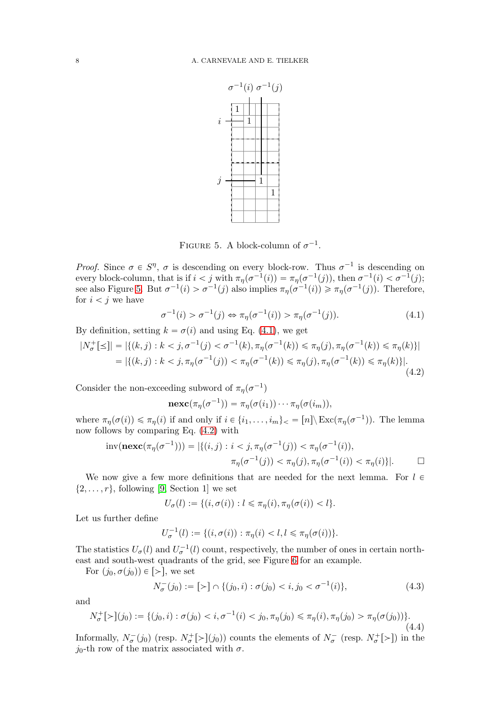

<span id="page-7-1"></span><span id="page-7-0"></span>FIGURE 5. A block-column of  $\sigma^{-1}$ .

*Proof.* Since  $\sigma \in S^n$ ,  $\sigma$  is descending on every block-row. Thus  $\sigma^{-1}$  is descending on every block-column, that is if  $i < j$  with  $\pi_{\eta}(\sigma^{-1}(i)) = \pi_{\eta}(\sigma^{-1}(j))$ , then  $\sigma^{-1}(i) < \sigma^{-1}(j)$ ; see also Figure [5.](#page-7-0) But  $\sigma^{-1}(i) > \sigma^{-1}(j)$  also implies  $\pi_{\eta}(\sigma^{-1}(i)) \geq \pi_{\eta}(\sigma^{-1}(j))$ . Therefore, for  $i < j$  we have

$$
\sigma^{-1}(i) > \sigma^{-1}(j) \Leftrightarrow \pi_{\eta}(\sigma^{-1}(i)) > \pi_{\eta}(\sigma^{-1}(j)).
$$
\n(4.1)

By definition, setting  $k = \sigma(i)$  and using Eq. [\(4.1\)](#page-7-1), we get

$$
|N_{\sigma}^{+}[\le]| = |\{(k,j) : k < j, \sigma^{-1}(j) < \sigma^{-1}(k), \pi_{\eta}(\sigma^{-1}(k)) \le \pi_{\eta}(j), \pi_{\eta}(\sigma^{-1}(k)) \le \pi_{\eta}(k)\}|
$$
  
= |\{(k,j) : k < j, \pi\_{\eta}(\sigma^{-1}(j)) < \pi\_{\eta}(\sigma^{-1}(k)) \le \pi\_{\eta}(j), \pi\_{\eta}(\sigma^{-1}(k)) \le \pi\_{\eta}(k)\}|. (4.2)

Consider the non-exceeding subword of  $\pi_{\eta}(\sigma^{-1})$ 

<span id="page-7-2"></span>
$$
\mathbf{nexc}(\pi_\eta(\sigma^{-1})) = \pi_\eta(\sigma(i_1)) \cdots \pi_\eta(\sigma(i_m)),
$$

where  $\pi_{\eta}(\sigma(i)) \leq \pi_{\eta}(i)$  if and only if  $i \in \{i_1, \ldots, i_m\}_{\text{max}} = [n] \setminus \text{Exc}(\pi_{\eta}(\sigma^{-1}))$ . The lemma now follows by comparing Eq. [\(4.2\)](#page-7-2) with

$$
\text{inv}(\mathbf{next}(\pi_{\eta}(\sigma^{-1}))) = |\{(i, j) : i < j, \pi_{\eta}(\sigma^{-1}(j)) < \pi_{\eta}(\sigma^{-1}(i)), \pi_{\eta}(\sigma^{-1}(j)) < \pi_{\eta}(j), \pi_{\eta}(\sigma^{-1}(i)) < \pi_{\eta}(i)\}|. \qquad \Box
$$

We now give a few more definitions that are needed for the next lemma. For  $l \in$  $\{2, \ldots, r\}$ , following [9, Section 1] we set

$$
U_{\sigma}(l) := \{(i, \sigma(i)) : l \leq \pi_{\eta}(i), \pi_{\eta}(\sigma(i)) < l\}.
$$

Let us further define

$$
U_{\sigma}^{-1}(l) := \{ (i, \sigma(i)) : \pi_{\eta}(i) < l, l \leq \pi_{\eta}(\sigma(i)) \}.
$$

The statistics  $U_{\sigma}(l)$  and  $U_{\sigma}^{-1}(l)$  count, respectively, the number of ones in certain northeast and south-west quadrants of the grid, see Figure [6](#page-8-0) for an example.

For  $(j_0, \sigma(j_0)) \in \lbrack > \rbrack$ , we set

<span id="page-7-4"></span>
$$
N_{\sigma}^{-}(j_0) := [ \gt] \cap \{ (j_0, i) : \sigma(j_0) < i, j_0 < \sigma^{-1}(i) \},\tag{4.3}
$$

and

<span id="page-7-3"></span>
$$
N_{\sigma}^{+}[\succ](j_{0}) := \{ (j_{0}, i) : \sigma(j_{0}) < i, \sigma^{-1}(i) < j_{0}, \pi_{\eta}(j_{0}) \le \pi_{\eta}(i), \pi_{\eta}(j_{0}) > \pi_{\eta}(\sigma(j_{0})) \}.
$$
\n(4.4)

Informally,  $N_{\sigma}^{-}(j_0)$  (resp.  $N_{\sigma}^{+}[\geq](j_0)$ ) counts the elements of  $N_{\sigma}^{-}$  (resp.  $N_{\sigma}^{+}[\geq](j_0)$ ) in the  $j_0$ -th row of the matrix associated with  $\sigma$ .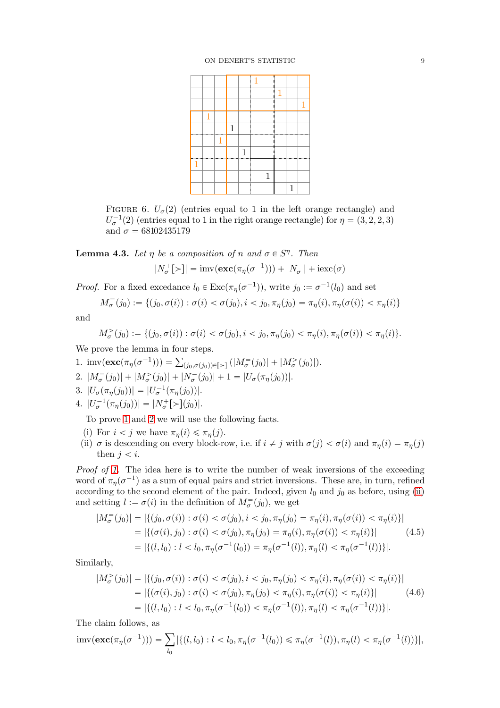|   |   |   |              |       | 1 |              |              |   |              |
|---|---|---|--------------|-------|---|--------------|--------------|---|--------------|
|   |   |   |              |       |   |              |              |   |              |
|   |   |   |              |       |   |              | $\mathbf{1}$ |   |              |
|   |   |   |              |       |   |              |              |   | $\mathbf{1}$ |
|   | 1 |   |              |       |   |              |              |   |              |
|   |   |   | $\mathbf{1}$ |       |   |              |              |   |              |
|   |   | 1 |              |       |   |              |              |   |              |
|   |   |   |              | $1\,$ |   |              |              |   |              |
| 1 |   |   |              |       |   |              |              |   |              |
|   |   |   |              |       |   | $\mathbf{1}$ |              |   |              |
|   |   |   |              |       |   |              |              | 1 |              |

<span id="page-8-0"></span>FIGURE 6.  $U_{\sigma}(2)$  (entries equal to 1 in the left orange rectangle) and  $U_{\sigma}^{-1}(2)$  (entries equal to 1 in the right orange rectangle) for  $\eta = (3, 2, 2, 3)$ and  $\sigma = 68102435179$ 

<span id="page-8-8"></span>**Lemma 4.3.** Let  $\eta$  be a composition of n and  $\sigma \in S^n$ . Then

$$
|N_{\sigma}^{+}[\rangle]| = \text{imv}(\mathbf{exc}(\pi_{\eta}(\sigma^{-1}))) + |N_{\sigma}^{-}| + \text{iexc}(\sigma)
$$

*Proof.* For a fixed excedance  $l_0 \in \text{Exc}(\pi_\eta(\sigma^{-1}))$ , write  $j_0 := \sigma^{-1}(l_0)$  and set

$$
M_{\sigma}^=(j_0) := \{ (j_0, \sigma(i)) : \sigma(i) < \sigma(j_0), i < j_0, \pi_{\eta}(j_0) = \pi_{\eta}(i), \pi_{\eta}(\sigma(i)) < \pi_{\eta}(i) \}
$$

and

$$
M^>_{\sigma}(j_0) := \{ (j_0, \sigma(i)) : \sigma(i) < \sigma(j_0), i < j_0, \pi_{\eta}(j_0) < \pi_{\eta}(i), \pi_{\eta}(\sigma(i)) < \pi_{\eta}(i) \}.
$$

<span id="page-8-1"></span>We prove the lemma in four steps.

- <span id="page-8-2"></span>1. imv $(\mathbf{exc}(\pi_\eta(\sigma^{-1}))) = \sum_{(j_0,\sigma(j_0)) \in [\ge]} (|M_{\sigma}^=(j_0)| + |M_{\sigma}^>(j_0)|).$
- <span id="page-8-6"></span>2.  $|M_{\sigma}^{=} (j_0)| + |M_{\sigma}^{>} (j_0)| + |N_{\sigma}^{-} (j_0)| + 1 = |U_{\sigma}(\pi_{\eta}(j_0))|$ .
- <span id="page-8-7"></span>3.  $|U_{\sigma}(\pi_{\eta}(j_0))| = |U_{\sigma}^{-1}(\pi_{\eta}(j_0))|$ .
- 4.  $|U_{\sigma}^{-1}(\pi_{\eta}(j_0))| = |N_{\sigma}^{+}[\succ](j_0)|.$

To prove [1](#page-8-1) and [2](#page-8-2) we will use the following facts.

- <span id="page-8-3"></span>(i) For  $i < j$  we have  $\pi_n(i) \leq \pi_n(j)$ .
- (ii)  $\sigma$  is descending on every block-row, i.e. if  $i \neq j$  with  $\sigma(j) < \sigma(i)$  and  $\pi_{\eta}(i) = \pi_{\eta}(j)$ then  $j < i$ .

Proof of [1.](#page-8-1) The idea here is to write the number of weak inversions of the exceeding word of  $\pi_{\eta}(\sigma^{-1})$  as a sum of equal pairs and strict inversions. These are, in turn, refined according to the second element of the pair. Indeed, given  $l_0$  and  $j_0$  as before, using [\(ii\)](#page-8-3) and setting  $l := \sigma(i)$  in the definition of  $M_{\sigma}^{(i)}(j_0)$ , we get

<span id="page-8-4"></span>
$$
|M_{\sigma}^=(j_0)| = |\{(j_0, \sigma(i)) : \sigma(i) < \sigma(j_0), i < j_0, \pi_{\eta}(j_0) = \pi_{\eta}(i), \pi_{\eta}(\sigma(i)) < \pi_{\eta}(i)\}|
$$
\n
$$
= |\{(\sigma(i), j_0) : \sigma(i) < \sigma(j_0), \pi_{\eta}(j_0) = \pi_{\eta}(i), \pi_{\eta}(\sigma(i)) < \pi_{\eta}(i)\}|
$$
\n
$$
= |\{(l, l_0) : l < l_0, \pi_{\eta}(\sigma^{-1}(l_0)) = \pi_{\eta}(\sigma^{-1}(l)), \pi_{\eta}(l) < \pi_{\eta}(\sigma^{-1}(l))\}|.
$$
\n
$$
(4.5)
$$

Similarly,

<span id="page-8-5"></span>
$$
|M^>_{\sigma}(j_0)| = |\{(j_0, \sigma(i)) : \sigma(i) < \sigma(j_0), i < j_0, \pi_{\eta}(j_0) < \pi_{\eta}(i), \pi_{\eta}(\sigma(i)) < \pi_{\eta}(i)\}|
$$
\n
$$
= |\{(\sigma(i), j_0) : \sigma(i) < \sigma(j_0), \pi_{\eta}(j_0) < \pi_{\eta}(i), \pi_{\eta}(\sigma(i)) < \pi_{\eta}(i)\}|
$$
\n
$$
= |\{(l, l_0) : l < l_0, \pi_{\eta}(\sigma^{-1}(l_0)) < \pi_{\eta}(\sigma^{-1}(l)), \pi_{\eta}(l) < \pi_{\eta}(\sigma^{-1}(l))\}|.
$$
\n(4.6)

The claim follows, as

$$
\text{imv}(\mathbf{exc}(\pi_{\eta}(\sigma^{-1}))) = \sum_{l_0} |\{(l, l_0) : l < l_0, \pi_{\eta}(\sigma^{-1}(l_0)) \le \pi_{\eta}(\sigma^{-1}(l)), \pi_{\eta}(l) < \pi_{\eta}(\sigma^{-1}(l))\}|,
$$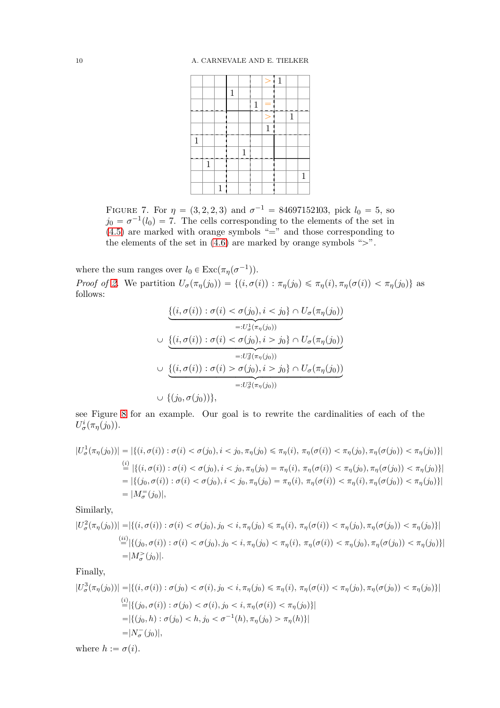|              |              |              |              |              |              | $\geq$       | $\vdash$ 1 |              |   |
|--------------|--------------|--------------|--------------|--------------|--------------|--------------|------------|--------------|---|
|              |              |              | $\mathbf{1}$ |              |              |              |            |              |   |
|              |              |              |              |              | $\mathbf{1}$ | ═            |            |              |   |
|              |              |              |              |              |              | $\,>\,$      |            | $\mathbf{1}$ |   |
|              |              |              |              |              |              | $\mathbf{1}$ |            |              |   |
| $\mathbf{1}$ |              |              |              |              |              |              |            |              |   |
|              |              |              |              | $\mathbf{1}$ |              |              |            |              |   |
|              | $\mathbf{1}$ |              |              |              |              |              |            |              |   |
|              |              |              |              |              |              |              |            |              | 1 |
|              |              | $\mathbf{1}$ |              |              |              |              |            |              |   |

FIGURE 7. For  $\eta = (3, 2, 2, 3)$  and  $\sigma^{-1} = 84697152103$ , pick  $l_0 = 5$ , so  $j_0 = \sigma^{-1}(l_0) = 7$ . The cells corresponding to the elements of the set in  $(4.5)$  are marked with orange symbols "=" and those corresponding to the elements of the set in  $(4.6)$  are marked by orange symbols " $>$ ".

where the sum ranges over  $l_0 \in \text{Exc}(\pi_\eta(\sigma^{-1}))$ .

Proof of [2.](#page-8-2) We partition  $U_{\sigma}(\pi_{\eta}(j_0)) = \{(i, \sigma(i)) : \pi_{\eta}(j_0) \leq \pi_{\eta}(i), \pi_{\eta}(\sigma(i)) < \pi_{\eta}(j_0)\}\$ as follows:

$$
\underbrace{\{(i,\sigma(i)) : \sigma(i) < \sigma(j_0), i < j_0\} \cap U_{\sigma}(\pi_{\eta}(j_0))}_{=:U_{\sigma}^1(\pi_{\eta}(j_0))}
$$
\n
$$
\cup \underbrace{\{(i,\sigma(i)) : \sigma(i) < \sigma(j_0), i > j_0\} \cap U_{\sigma}(\pi_{\eta}(j_0))}_{=:U_{\sigma}^2(\pi_{\eta}(j_0))}
$$
\n
$$
\cup \underbrace{\{(i,\sigma(i)) : \sigma(i) > \sigma(j_0), i > j_0\} \cap U_{\sigma}(\pi_{\eta}(j_0))}_{=:U_{\sigma}^3(\pi_{\eta}(j_0))}
$$
\n
$$
\cup \{(j_0, \sigma(j_0))\},
$$

see Figure [8](#page-10-0) for an example. Our goal is to rewrite the cardinalities of each of the  $U^i_\sigma(\pi_\eta(j_0)).$ 

$$
|U_{\sigma}^{1}(\pi_{\eta}(j_{0}))| = |\{(i, \sigma(i)) : \sigma(i) < \sigma(j_{0}), i < j_{0}, \pi_{\eta}(j_{0}) \leq \pi_{\eta}(i), \pi_{\eta}(\sigma(i)) < \pi_{\eta}(j_{0}), \pi_{\eta}(\sigma(j_{0})) < \pi_{\eta}(j_{0})\}|
$$
\n
$$
\stackrel{(i)}{=} |\{(i, \sigma(i)) : \sigma(i) < \sigma(j_{0}), i < j_{0}, \pi_{\eta}(j_{0}) = \pi_{\eta}(i), \pi_{\eta}(\sigma(i)) < \pi_{\eta}(j_{0}), \pi_{\eta}(\sigma(j_{0})) < \pi_{\eta}(j_{0})\}|
$$
\n
$$
= |\{(j_{0}, \sigma(i)) : \sigma(i) < \sigma(j_{0}), i < j_{0}, \pi_{\eta}(j_{0}) = \pi_{\eta}(i), \pi_{\eta}(\sigma(i)) < \pi_{\eta}(i), \pi_{\eta}(\sigma(j_{0})) < \pi_{\eta}(j_{0})\}|
$$
\n
$$
= |M_{\sigma}^{-}(j_{0})|,
$$

Similarly,

$$
|U^2_{\sigma}(\pi_{\eta}(j_0))| = |\{(i, \sigma(i)) : \sigma(i) < \sigma(j_0), j_0 < i, \pi_{\eta}(j_0) \leq \pi_{\eta}(i), \pi_{\eta}(\sigma(i)) < \pi_{\eta}(j_0), \pi_{\eta}(\sigma(j_0)) < \pi_{\eta}(j_0)\}\|
$$
\n
$$
\stackrel{(ii)}{=} |\{(j_0, \sigma(i)) : \sigma(i) < \sigma(j_0), j_0 < i, \pi_{\eta}(j_0) < \pi_{\eta}(i), \pi_{\eta}(\sigma(i)) < \pi_{\eta}(j_0), \pi_{\eta}(\sigma(j_0)) < \pi_{\eta}(j_0)\}|
$$
\n
$$
= |M^2_{\sigma}(j_0)|.
$$

## Finally,

$$
|U^3_{\sigma}(\pi_{\eta}(j_0))| = |\{(i, \sigma(i)) : \sigma(j_0) < \sigma(i), j_0 < i, \pi_{\eta}(j_0) \le \pi_{\eta}(i), \pi_{\eta}(\sigma(i)) < \pi_{\eta}(j_0), \pi_{\eta}(\sigma(j_0)) < \pi_{\eta}(j_0)\}|
$$
\n
$$
\stackrel{(i)}{=} |\{(j_0, \sigma(i)) : \sigma(j_0) < \sigma(i), j_0 < i, \pi_{\eta}(\sigma(i)) < \pi_{\eta}(j_0)\}|
$$
\n
$$
= |\{(j_0, h) : \sigma(j_0) < h, j_0 < \sigma^{-1}(h), \pi_{\eta}(j_0) > \pi_{\eta}(h)\}|
$$
\n
$$
= |N_{\sigma}^-(j_0)|,
$$
\nwhere  $h := \sigma(i).$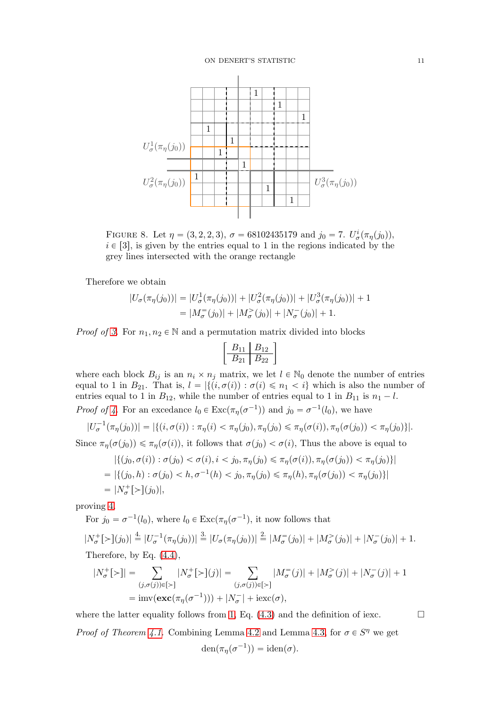

<span id="page-10-0"></span>FIGURE 8. Let  $\eta = (3, 2, 2, 3), \sigma = 68102435179$  and  $j_0 = 7$ .  $U^i_{\sigma}(\pi_{\eta}(j_0)),$  $i \in [3]$ , is given by the entries equal to 1 in the regions indicated by the grey lines intersected with the orange rectangle

Therefore we obtain

$$
|U_{\sigma}(\pi_{\eta}(j_0))| = |U_{\sigma}^1(\pi_{\eta}(j_0))| + |U_{\sigma}^2(\pi_{\eta}(j_0))| + |U_{\sigma}^3(\pi_{\eta}(j_0))| + 1
$$
  
=  $|M_{\sigma}^=(j_0)| + |M_{\sigma}^>(j_0)| + |N_{\sigma}^-(j_0)| + 1.$ 

*Proof of [3.](#page-8-6)* For  $n_1, n_2 \in \mathbb{N}$  and a permutation matrix divided into blocks

$$
\left[\begin{array}{c|c} B_{11} & B_{12} \\ \hline B_{21} & B_{22} \end{array}\right]
$$

where each block  $B_{ij}$  is an  $n_i \times n_j$  matrix, we let  $l \in \mathbb{N}_0$  denote the number of entries equal to 1 in  $B_{21}$ . That is,  $l = |\{(i, \sigma(i)) : \sigma(i) \leq n_1 < i\}$  which is also the number of entries equal to 1 in  $B_{12}$ , while the number of entries equal to 1 in  $B_{11}$  is  $n_1 - l$ . *Proof of 4*. For an excedance  $l_0 \in \text{Exc}(\pi_\eta(\sigma^{-1}))$  and  $j_0 = \sigma^{-1}(l_0)$ , we have

$$
|U_{\sigma}^{-1}(\pi_{\eta}(j_0))| = |\{(i, \sigma(i)) : \pi_{\eta}(i) < \pi_{\eta}(j_0), \pi_{\eta}(j_0) \leq \pi_{\eta}(\sigma(i)), \pi_{\eta}(\sigma(j_0)) < \pi_{\eta}(j_0)\}|.
$$

Since  $\pi_{\eta}(\sigma(j_0)) \leq \pi_{\eta}(\sigma(i))$ , it follows that  $\sigma(j_0) < \sigma(i)$ . Thus the above is equal to

$$
|\{(j_0, \sigma(i)) : \sigma(j_0) < \sigma(i), i < j_0, \pi_\eta(j_0) \le \pi_\eta(\sigma(i)), \pi_\eta(\sigma(j_0)) < \pi_\eta(j_0)\}\|
$$
\n
$$
= |\{(j_0, h) : \sigma(j_0) < h, \sigma^{-1}(h) < j_0, \pi_\eta(j_0) \le \pi_\eta(h), \pi_\eta(\sigma(j_0)) < \pi_\eta(j_0)\}|
$$
\n
$$
= |N_\sigma^+[>](j_0)|,
$$

proving [4.](#page-8-7)

For 
$$
j_0 = \sigma^{-1}(l_0)
$$
, where  $l_0 \in \text{Exc}(\pi_{\eta}(\sigma^{-1}))$ , it now follows that  
\n
$$
|N_{\sigma}^{+}[>](j_0)| \stackrel{4}{=} |U_{\sigma}^{-1}(\pi_{\eta}(j_0))| \stackrel{3}{=} |U_{\sigma}(\pi_{\eta}(j_0))| \stackrel{2}{=} |M_{\sigma}^{-}(j_0)| + |M_{\sigma}^{>}(j_0)| + |N_{\sigma}^{-}(j_0)| + 1.
$$
\nTherefore, by Eq. (4.4),

$$
|N^+_{\sigma}[\rangle]| = \sum_{(j,\sigma(j))\in[\rangle]} |N^+_{\sigma}[\rangle](j)| = \sum_{(j,\sigma(j))\in[\rangle]} |M^-_{\sigma}(j)| + |M^-_{\sigma}(j)| + |N^-_{\sigma}(j)| + 1
$$
  
=  $imv(\mathbf{exc}(\pi_{\eta}(\sigma^{-1}))) + |N^-_{\sigma}| + i\mathbf{exc}(\sigma),$ 

where the latter equality follows from [1,](#page-8-1) Eq.  $(4.3)$  and the definition of iexc. *Proof of Theorem [4.1.](#page-6-0)* Combining Lemma [4.2](#page-6-3) and Lemma [4.3,](#page-8-8) for  $\sigma \in S^n$  we get  $den(\pi_{\eta}(\sigma^{-1})) = iden(\sigma).$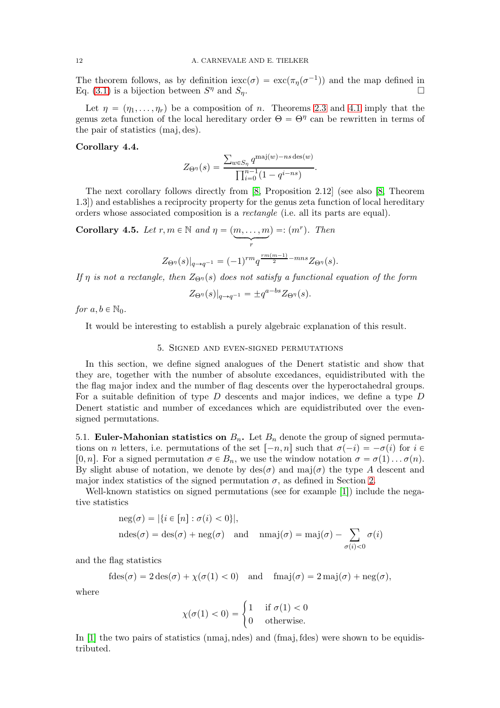The theorem follows, as by definition  $\operatorname{iexc}(\sigma) = \operatorname{exc}(\pi_n(\sigma^{-1}))$  and the map defined in Eq. [\(3.1\)](#page-4-1) is a bijection between  $S^{\eta}$  and  $S_{\eta}$ .

Let  $\eta = (\eta_1, \ldots, \eta_r)$  be a composition of n. Theorems [2.3](#page-2-1) and [4.1](#page-6-0) imply that the genus zeta function of the local hereditary order  $\Theta = \Theta^{\eta}$  can be rewritten in terms of the pair of statistics  $(maj, des)$ .

#### <span id="page-11-1"></span>Corollary 4.4.

$$
Z_{\Theta^{\eta}}(s) = \frac{\sum_{w \in S_{\eta}} q^{\text{maj}(w) - ns \text{ des}(w)}}{\prod_{i=0}^{n-1} (1 - q^{i - ns})}.
$$

The next corollary follows directly from [8, Proposition 2.12] (see also [8, Theorem 1.3]) and establishes a reciprocity property for the genus zeta function of local hereditary orders whose associated composition is a rectangle (i.e. all its parts are equal).

Corollary 4.5. Let  $r, m \in \mathbb{N}$  and  $\eta = (m, \ldots, m]$  $\begin{matrix} \searrow \\ r \end{matrix}$  $) =: (m<sup>r</sup>)$ . Then  $rm(m-1)$ 

$$
Z_{\Theta^{\eta}}(s)|_{q \to q^{-1}} = (-1)^{rm} q^{\frac{rm(m-1)}{2} - mns} Z_{\Theta^{\eta}}(s).
$$

If  $\eta$  is not a rectangle, then  $Z_{\Theta\eta}(s)$  does not satisfy a functional equation of the form

$$
Z_{\Theta^{\eta}}(s)|_{q \to q^{-1}} = \pm q^{a - bs} Z_{\Theta^{\eta}}(s).
$$

for  $a, b \in \mathbb{N}_0$ .

<span id="page-11-0"></span>It would be interesting to establish a purely algebraic explanation of this result.

### 5. Signed and even-signed permutations

In this section, we define signed analogues of the Denert statistic and show that they are, together with the number of absolute excedances, equidistributed with the the flag major index and the number of flag descents over the hyperoctahedral groups. For a suitable definition of type  $D$  descents and major indices, we define a type  $D$ Denert statistic and number of excedances which are equidistributed over the evensigned permutations.

5.1. Euler-Mahonian statistics on  $B_n$ . Let  $B_n$  denote the group of signed permutations on n letters, i.e. permutations of the set  $[-n, n]$  such that  $\sigma(-i) = -\sigma(i)$  for  $i \in$ [0, n]. For a signed permutation  $\sigma \in B_n$ , we use the window notation  $\sigma = \sigma(1) \dots \sigma(n)$ . By slight abuse of notation, we denote by  $\text{des}(\sigma)$  and maj $(\sigma)$  the type A descent and major index statistics of the signed permutation  $\sigma$ , as defined in Section [2.](#page-1-0)

Well-known statistics on signed permutations (see for example [1]) include the negative statistics

$$
\begin{aligned} \operatorname{neg}(\sigma) &= |\{i \in [n] : \sigma(i) < 0\}|, \\ \operatorname{ndes}(\sigma) &= \operatorname{des}(\sigma) + \operatorname{neg}(\sigma) \quad \text{and} \quad \operatorname{nmaj}(\sigma) = \operatorname{maj}(\sigma) - \sum_{\sigma(i) < 0} \sigma(i) \end{aligned}
$$

and the flag statistics

$$
fdes(\sigma) = 2 des(\sigma) + \chi(\sigma(1) < 0) \quad \text{and} \quad fmaj(\sigma) = 2 maj(\sigma) + neg(\sigma),
$$

where

$$
\chi(\sigma(1) < 0) = \begin{cases} 1 & \text{if } \sigma(1) < 0 \\ 0 & \text{otherwise.} \end{cases}
$$

In  $[1]$  the two pairs of statistics (nmaj, ndes) and (fmaj, fdes) were shown to be equidistributed.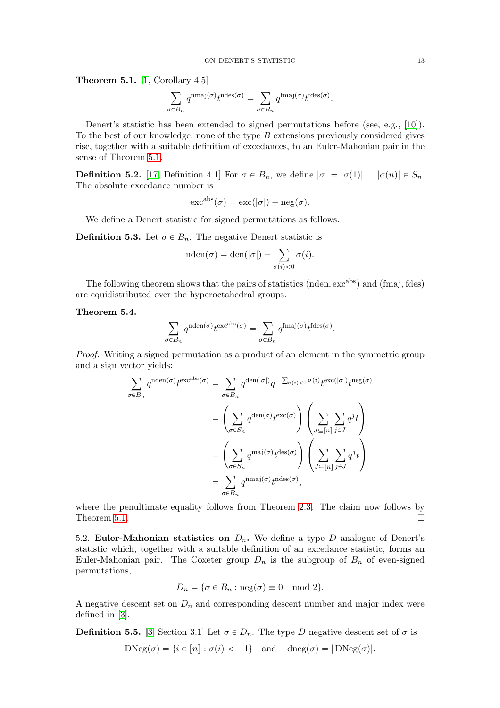<span id="page-12-0"></span>**Theorem 5.1.** [1, Corollary 4.5]

$$
\sum_{\sigma \in B_n} q^{\text{nmaj}(\sigma)} t^{\text{ndes}(\sigma)} = \sum_{\sigma \in B_n} q^{\text{fmaj}(\sigma)} t^{\text{fdes}(\sigma)}.
$$

Denert's statistic has been extended to signed permutations before (see, e.g., [10]). To the best of our knowledge, none of the type  $B$  extensions previously considered gives rise, together with a suitable definition of excedances, to an Euler-Mahonian pair in the sense of Theorem [5.1.](#page-12-0)

**Definition 5.2.** [17, Definition 4.1] For  $\sigma \in B_n$ , we define  $|\sigma| = |\sigma(1)| \dots |\sigma(n)| \in S_n$ . The absolute excedance number is

$$
\mathrm{exc}^{\mathrm{abs}}(\sigma) = \mathrm{exc}(|\sigma|) + \mathrm{neg}(\sigma).
$$

We define a Denert statistic for signed permutations as follows.

**Definition 5.3.** Let  $\sigma \in B_n$ . The negative Denert statistic is

$$
\mathrm{nden}(\sigma)=\mathrm{den}(|\sigma|)-\sum_{\sigma(i)<0}\sigma(i).
$$

The following theorem shows that the pairs of statistics (nden,  $exc^{abs}$ ) and (fmaj, fdes) are equidistributed over the hyperoctahedral groups.

## Theorem 5.4.

$$
\sum_{\sigma \in B_n} q^{\text{nden}(\sigma)} t^{\text{exc}^{\text{abs}}(\sigma)} = \sum_{\sigma \in B_n} q^{\text{fmaj}(\sigma)} t^{\text{fdes}(\sigma)}.
$$

Proof. Writing a signed permutation as a product of an element in the symmetric group and a sign vector yields:

$$
\sum_{\sigma \in B_n} q^{\text{nden}(\sigma)} t^{\text{excabs}(\sigma)} = \sum_{\sigma \in B_n} q^{\text{den}(|\sigma|)} q^{-\sum_{\sigma(i) < 0} \sigma(i)} t^{\text{exc}(|\sigma|)} t^{\text{neg}(\sigma)}
$$
\n
$$
= \left(\sum_{\sigma \in S_n} q^{\text{den}(\sigma)} t^{\text{exc}(\sigma)}\right) \left(\sum_{J \subseteq [n]} \sum_{j \in J} q^j t\right)
$$
\n
$$
= \left(\sum_{\sigma \in S_n} q^{\text{maj}(\sigma)} t^{\text{des}(\sigma)}\right) \left(\sum_{J \subseteq [n]} \sum_{j \in J} q^j t\right)
$$
\n
$$
= \sum_{\sigma \in B_n} q^{\text{nmaj}(\sigma)} t^{\text{ndes}(\sigma)},
$$

where the penultimate equality follows from Theorem [2.3.](#page-2-1) The claim now follows by Theorem [5.1.](#page-12-0)  $\Box$ 

5.2. Euler-Mahonian statistics on  $D_n$ . We define a type D analogue of Denert's statistic which, together with a suitable definition of an excedance statistic, forms an Euler-Mahonian pair. The Coxeter group  $D_n$  is the subgroup of  $B_n$  of even-signed permutations,

$$
D_n = \{ \sigma \in B_n : \text{neg}(\sigma) \equiv 0 \mod 2 \}.
$$

A negative descent set on  $D_n$  and corresponding descent number and major index were defined in [3].

**Definition 5.5.** [3, Section 3.1] Let  $\sigma \in D_n$ . The type D negative descent set of  $\sigma$  is  $DNeg(\sigma) = \{i \in [n] : \sigma(i) < -1\}$  and  $dneg(\sigma) = |DNeg(\sigma)|$ .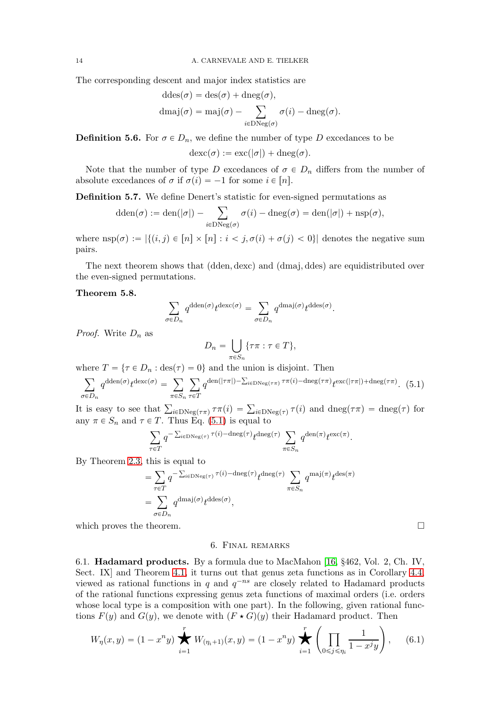The corresponding descent and major index statistics are

$$
ddes(\sigma) = des(\sigma) + dneg(\sigma),
$$
  
\n
$$
dmaj(\sigma) = maj(\sigma) - \sum_{i \in DNeg(\sigma)} \sigma(i) - dneg(\sigma).
$$

**Definition 5.6.** For  $\sigma \in D_n$ , we define the number of type D excedances to be

 $\operatorname{dexc}(\sigma) := \operatorname{exc}(|\sigma|) + \operatorname{dneg}(\sigma)$ .

Note that the number of type D excedances of  $\sigma \in D_n$  differs from the number of absolute excedances of  $\sigma$  if  $\sigma(i) = -1$  for some  $i \in [n]$ .

Definition 5.7. We define Denert's statistic for even-signed permutations as

$$
\mathrm{dden}(\sigma) := \mathrm{den}(|\sigma|) - \sum_{i \in \mathrm{DNeg}(\sigma)} \sigma(i) - \mathrm{dneg}(\sigma) = \mathrm{den}(|\sigma|) + \mathrm{nsp}(\sigma),
$$

where  $\text{nsp}(\sigma) := |\{(i, j) \in [n] \times [n] : i < j, \sigma(i) + \sigma(j) < 0\}|$  denotes the negative sum pairs.

The next theorem shows that (dden, dexc) and (dmaj, ddes) are equidistributed over the even-signed permutations.

## Theorem 5.8.

$$
\sum_{\sigma\in D_n}q^{{\rm dden}(\sigma)}t^{{\rm dexc}(\sigma)}=\sum_{\sigma\in D_n}q^{{\rm dmaj}(\sigma)}t^{{\rm ddes}(\sigma)}.
$$

*Proof.* Write  $D_n$  as

$$
D_n = \bigcup_{\pi \in S_n} \{ \tau \pi : \tau \in T \},\
$$

where  $T = \{ \tau \in D_n : \text{des}(\tau) = 0 \}$  and the union is disjoint. Then

$$
\sum_{\sigma \in D_n} q^{\text{dden}(\sigma)} t^{\text{dexc}(\sigma)} = \sum_{\pi \in S_n} \sum_{\tau \in T} q^{\text{den}(|\tau\pi|) - \sum_{i \in \text{DNeg}(\tau\pi)} \tau\pi(i) - \text{dneg}(\tau\pi)} t^{\text{exc}(|\tau\pi|) + \text{dneg}(\tau\pi)}.
$$
 (5.1)

It is easy to see that  $\sum_{i\in\text{DNeg}(\tau\pi)} \tau(\tau(i)) = \sum_{i\in\text{DNeg}(\tau)} \tau(i)$  and  $\text{dneg}(\tau\pi) = \text{dneg}(\tau)$  for any  $\pi \in S_n$  and  $\tau \in T$ . Thus Eq. [\(5.1\)](#page-13-1) is equal to

$$
\sum_{\tau \in T} q^{-\sum_{i \in \text{DNeg}(\tau)} \tau(i) - \text{dneg}(\tau)} t^{\text{dneg}(\tau)} \sum_{\pi \in S_n} q^{\text{den}(\pi)} t^{\text{exc}(\pi)}.
$$

By Theorem [2.3,](#page-2-1) this is equal to

$$
= \sum_{\tau \in T} q^{-\sum_{i \in \text{DNeg}(\tau)} \tau(i) - \text{dneg}(\tau)} t^{\text{dneg}(\tau)} \sum_{\pi \in S_n} q^{\text{maj}(\pi)} t^{\text{des}(\pi)}
$$

$$
= \sum_{\sigma \in D_n} q^{\text{dmaj}(\sigma)} t^{\text{ddes}(\sigma)},
$$

<span id="page-13-0"></span>which proves the theorem.  $\Box$ 

<span id="page-13-1"></span>

#### 6. Final remarks

6.1. Hadamard products. By a formula due to MacMahon [16, §462, Vol. 2, Ch. IV, Sect. IX] and Theorem [4.1,](#page-6-0) it turns out that genus zeta functions as in Corollary [4.4,](#page-11-1) viewed as rational functions in q and  $q^{-ns}$  are closely related to Hadamard products of the rational functions expressing genus zeta functions of maximal orders (i.e. orders whose local type is a composition with one part). In the following, given rational func-

<span id="page-13-2"></span>tions 
$$
F(y)
$$
 and  $G(y)$ , we denote with  $(F \star G)(y)$  their Hadamard product. Then  
\n
$$
W_{\eta}(x, y) = (1 - x^{n}y) \sum_{i=1}^{r} W_{(\eta_{i}+1)}(x, y) = (1 - x^{n}y) \sum_{i=1}^{r} \left( \prod_{0 \leq j \leq \eta_{i}} \frac{1}{1 - x^{j}y} \right), \quad (6.1)
$$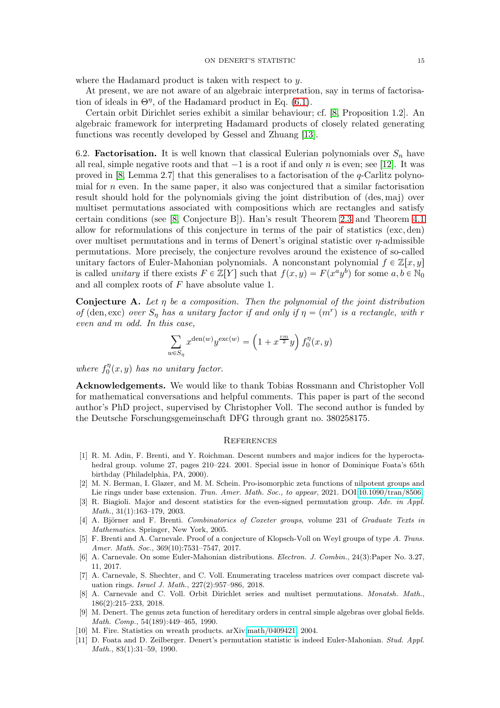#### ON DENERT'S STATISTIC 15

where the Hadamard product is taken with respect to y.

At present, we are not aware of an algebraic interpretation, say in terms of factorisation of ideals in  $\Theta^{\eta}$ , of the Hadamard product in Eq. [\(6.1\)](#page-13-2).

Certain orbit Dirichlet series exhibit a similar behaviour; cf. [8, Proposition 1.2]. An algebraic framework for interpreting Hadamard products of closely related generating functions was recently developed by Gessel and Zhuang [13].

6.2. **Factorisation.** It is well known that classical Eulerian polynomials over  $S_n$  have all real, simple negative roots and that  $-1$  is a root if and only n is even; see [12]. It was proved in  $[8, \text{Lemma 2.7}]$  that this generalises to a factorisation of the q-Carlitz polynomial for  $n$  even. In the same paper, it also was conjectured that a similar factorisation result should hold for the polynomials giving the joint distribution of  $(\text{des}, \text{maj})$  over multiset permutations associated with compositions which are rectangles and satisfy certain conditions (see [8, Conjecture B]). Han's result Theorem [2.3](#page-2-1) and Theorem [4.1](#page-6-0) allow for reformulations of this conjecture in terms of the pair of statistics  $(exc, den)$ over multiset permutations and in terms of Denert's original statistic over  $\eta$ -admissible permutations. More precisely, the conjecture revolves around the existence of so-called unitary factors of Euler-Mahonian polynomials. A nonconstant polynomial  $f \in \mathbb{Z}[x, y]$ is called *unitary* if there exists  $F \in \mathbb{Z}[Y]$  such that  $f(x, y) = F(x^a y^b)$  for some  $a, b \in \mathbb{N}_0$ and all complex roots of F have absolute value 1.

**Conjecture A.** Let  $\eta$  be a composition. Then the polynomial of the joint distribution of (den, exc) over  $S_{\eta}$  has a unitary factor if and only if  $\eta = (m^r)$  is a rectangle, with r even and m odd. In this case,

$$
\sum_{w \in S_{\eta}} x^{\text{den}(w)} y^{\text{exc}(w)} = \left(1 + x^{\frac{rm}{2}} y\right) f_0^{\eta}(x, y)
$$

where  $f_0^{\eta}$  $\int_0^{\eta}(x, y)$  has no unitary factor.

Acknowledgements. We would like to thank Tobias Rossmann and Christopher Voll for mathematical conversations and helpful comments. This paper is part of the second author's PhD project, supervised by Christopher Voll. The second author is funded by the Deutsche Forschungsgemeinschaft DFG through grant no. 380258175.

#### **REFERENCES**

- [1] R. M. Adin, F. Brenti, and Y. Roichman. Descent numbers and major indices for the hyperoctahedral group. volume 27, pages 210–224. 2001. Special issue in honor of Dominique Foata's 65th birthday (Philadelphia, PA, 2000).
- [2] M. N. Berman, I. Glazer, and M. M. Schein. Pro-isomorphic zeta functions of nilpotent groups and Lie rings under base extension. Tran. Amer. Math. Soc., to appear, 2021. DOI[:10.1090/tran/8506.](https://doi.org/10.1090/tran/8506)
- [3] R. Biagioli. Major and descent statistics for the even-signed permutation group. Adv. in Appl. Math., 31(1):163–179, 2003.
- [4] A. Björner and F. Brenti. Combinatorics of Coxeter groups, volume 231 of Graduate Texts in Mathematics. Springer, New York, 2005.
- [5] F. Brenti and A. Carnevale. Proof of a conjecture of Klopsch-Voll on Weyl groups of type A. Trans. Amer. Math. Soc., 369(10):7531–7547, 2017.
- [6] A. Carnevale. On some Euler-Mahonian distributions. Electron. J. Combin., 24(3):Paper No. 3.27, 11, 2017.
- [7] A. Carnevale, S. Shechter, and C. Voll. Enumerating traceless matrices over compact discrete valuation rings. Israel J. Math., 227(2):957–986, 2018.
- [8] A. Carnevale and C. Voll. Orbit Dirichlet series and multiset permutations. Monatsh. Math., 186(2):215–233, 2018.
- [9] M. Denert. The genus zeta function of hereditary orders in central simple algebras over global fields. Math. Comp., 54(189):449–465, 1990.
- [10] M. Fire. Statistics on wreath products. arXiv[:math/0409421,](https://arxiv.org/abs/math/0409421) 2004.
- [11] D. Foata and D. Zeilberger. Denert's permutation statistic is indeed Euler-Mahonian. Stud. Appl. Math., 83(1):31–59, 1990.